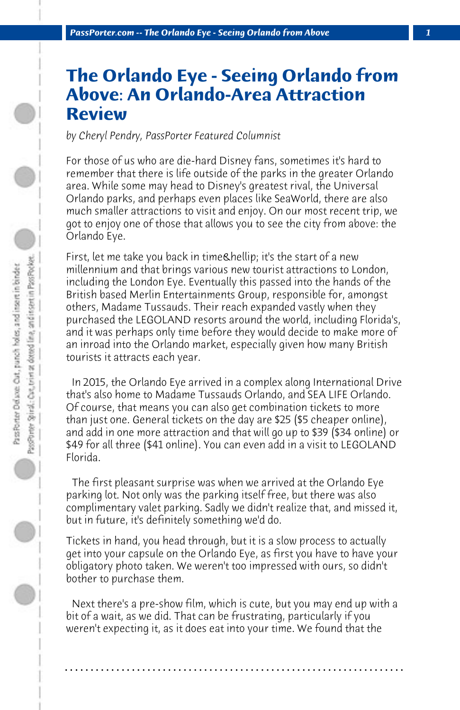## **The Orlando Eye - Seeing Orlando from Above: An Orlando-Area Attraction Review**

*by Cheryl Pendry, PassPorter Featured Columnist*

For those of us who are die-hard Disney fans, sometimes it's hard to remember that there is life outside of the parks in the greater Orlando area. While some may head to Disney's greatest rival, the Universal Orlando parks, and perhaps even places like SeaWorld, there are also much smaller attractions to visit and enjoy. On our most recent trip, we got to enjoy one of those that allows you to see the city from above: the Orlando Eye.

First, let me take you back in time & hellip; it's the start of a new millennium and that brings various new tourist attractions to London, including the London Eye. Eventually this passed into the hands of the British based Merlin Entertainments Group, responsible for, amongst others, Madame Tussauds. Their reach expanded vastly when they purchased the LEGOLAND resorts around the world, including Florida's, and it was perhaps only time before they would decide to make more of an inroad into the Orlando market, especially given how many British tourists it attracts each year.

 In 2015, the Orlando Eye arrived in a complex along International Drive that's also home to Madame Tussauds Orlando, and SEA LIFE Orlando. Of course, that means you can also get combination tickets to more than just one. General tickets on the day are \$25 (\$5 cheaper online), and add in one more attraction and that will go up to \$39 (\$34 online) or \$49 for all three (\$41 online). You can even add in a visit to LEGOLAND Florida.

 The first pleasant surprise was when we arrived at the Orlando Eye parking lot. Not only was the parking itself free, but there was also complimentary valet parking. Sadly we didn't realize that, and missed it, but in future, it's definitely something we'd do.

Tickets in hand, you head through, but it is a slow process to actually get into your capsule on the Orlando Eye, as first you have to have your obligatory photo taken. We weren't too impressed with ours, so didn't bother to purchase them.

 Next there's a pre-show film, which is cute, but you may end up with a bit of a wait, as we did. That can be frustrating, particularly if you weren't expecting it, as it does eat into your time. We found that the

**. . . . . . . . . . . . . . . . . . . . . . . . . . . . . . . . . . . . . . . . . . . . . . . . . . . . . . . . . . . . . . . . . .**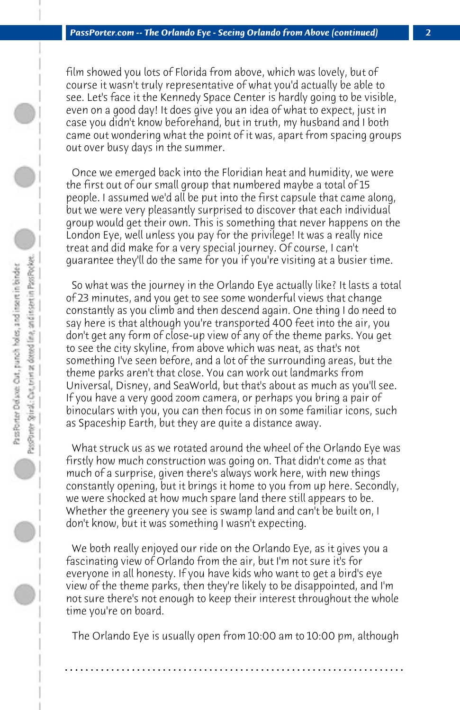film showed you lots of Florida from above, which was lovely, but of course it wasn't truly representative of what you'd actually be able to see. Let's face it the Kennedy Space Center is hardly going to be visible, even on a good day! It does give you an idea of what to expect, just in case you didn't know beforehand, but in truth, my husband and I both came out wondering what the point of it was, apart from spacing groups out over busy days in the summer.

 Once we emerged back into the Floridian heat and humidity, we were the first out of our small group that numbered maybe a total of 15 people. I assumed we'd all be put into the first capsule that came along, but we were very pleasantly surprised to discover that each individual group would get their own. This is something that never happens on the London Eye, well unless you pay for the privilege! It was a really nice treat and did make for a very special journey. Of course, I can't guarantee they'll do the same for you if you're visiting at a busier time.

 So what was the journey in the Orlando Eye actually like? It lasts a total of 23 minutes, and you get to see some wonderful views that change constantly as you climb and then descend again. One thing I do need to say here is that although you're transported 400 feet into the air, you don't get any form of close-up view of any of the theme parks. You get to see the city skyline, from above which was neat, as that's not something I've seen before, and a lot of the surrounding areas, but the theme parks aren't that close. You can work out landmarks from Universal, Disney, and SeaWorld, but that's about as much as you'll see. If you have a very good zoom camera, or perhaps you bring a pair of binoculars with you, you can then focus in on some familiar icons, such as Spaceship Earth, but they are quite a distance away.

 What struck us as we rotated around the wheel of the Orlando Eye was firstly how much construction was going on. That didn't come as that much of a surprise, given there's always work here, with new things constantly opening, but it brings it home to you from up here. Secondly, we were shocked at how much spare land there still appears to be. Whether the greenery you see is swamp land and can't be built on, I don't know, but it was something I wasn't expecting.

 We both really enjoyed our ride on the Orlando Eye, as it gives you a fascinating view of Orlando from the air, but I'm not sure it's for everyone in all honesty. If you have kids who want to get a bird's eye view of the theme parks, then they're likely to be disappointed, and I'm not sure there's not enough to keep their interest throughout the whole time you're on board.

 The Orlando Eye is usually open from 10:00 am to 10:00 pm, although

**. . . . . . . . . . . . . . . . . . . . . . . . . . . . . . . . . . . . . . . . . . . . . . . . . . . . . . . . . . . . . . . . . .**